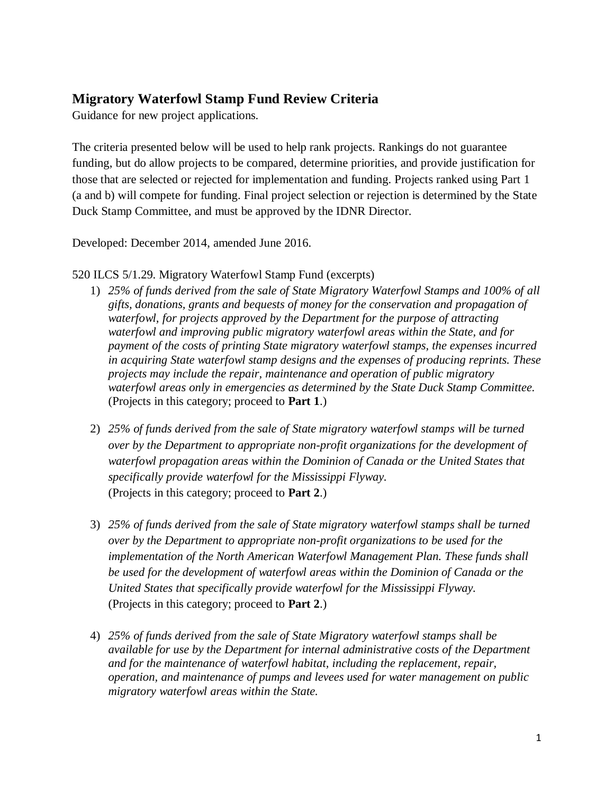# **Migratory Waterfowl Stamp Fund Review Criteria**

Guidance for new project applications.

The criteria presented below will be used to help rank projects. Rankings do not guarantee funding, but do allow projects to be compared, determine priorities, and provide justification for those that are selected or rejected for implementation and funding. Projects ranked using Part 1 (a and b) will compete for funding. Final project selection or rejection is determined by the State Duck Stamp Committee, and must be approved by the IDNR Director.

Developed: December 2014, amended June 2016.

#### 520 ILCS 5/1.29. Migratory Waterfowl Stamp Fund (excerpts)

- 1) *25% of funds derived from the sale of State Migratory Waterfowl Stamps and 100% of all gifts, donations, grants and bequests of money for the conservation and propagation of waterfowl, for projects approved by the Department for the purpose of attracting waterfowl and improving public migratory waterfowl areas within the State, and for payment of the costs of printing State migratory waterfowl stamps, the expenses incurred in acquiring State waterfowl stamp designs and the expenses of producing reprints. These projects may include the repair, maintenance and operation of public migratory waterfowl areas only in emergencies as determined by the State Duck Stamp Committee.* (Projects in this category; proceed to **Part 1**.)
- 2) *25% of funds derived from the sale of State migratory waterfowl stamps will be turned over by the Department to appropriate non-profit organizations for the development of*  waterfowl propagation areas within the Dominion of Canada or the United States that *specifically provide waterfowl for the Mississippi Flyway.*  (Projects in this category; proceed to **Part 2**.)
- 3) *25% of funds derived from the sale of State migratory waterfowl stamps shall be turned over by the Department to appropriate non-profit organizations to be used for the implementation of the North American Waterfowl Management Plan. These funds shall* be used for the development of waterfowl areas within the Dominion of Canada or the *United States that specifically provide waterfowl for the Mississippi Flyway.*  (Projects in this category; proceed to **Part 2**.)
- 4) *25% of funds derived from the sale of State Migratory waterfowl stamps shall be available for use by the Department for internal administrative costs of the Department and for the maintenance of waterfowl habitat, including the replacement, repair, operation, and maintenance of pumps and levees used for water management on public migratory waterfowl areas within the State.*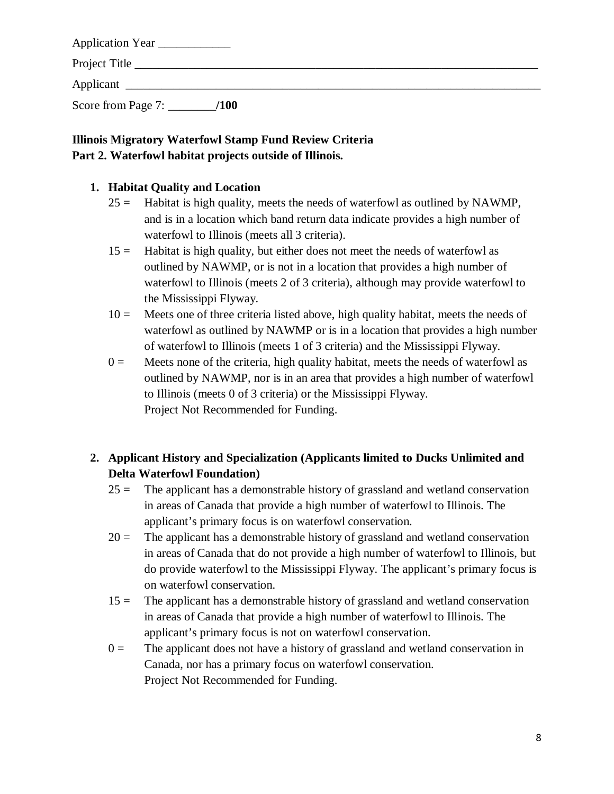| Application Year   |      |  |  |
|--------------------|------|--|--|
| Project Title      |      |  |  |
| Applicant          |      |  |  |
| Score from Page 7: | /100 |  |  |

# **Illinois Migratory Waterfowl Stamp Fund Review Criteria Part 2. Waterfowl habitat projects outside of Illinois.**

### **1. Habitat Quality and Location**

- $25 =$  Habitat is high quality, meets the needs of waterfowl as outlined by NAWMP, and is in a location which band return data indicate provides a high number of waterfowl to Illinois (meets all 3 criteria).
- 15 = Habitat is high quality, but either does not meet the needs of waterfowl as outlined by NAWMP, or is not in a location that provides a high number of waterfowl to Illinois (meets 2 of 3 criteria), although may provide waterfowl to the Mississippi Flyway.
- $10 =$  Meets one of three criteria listed above, high quality habitat, meets the needs of waterfowl as outlined by NAWMP or is in a location that provides a high number of waterfowl to Illinois (meets 1 of 3 criteria) and the Mississippi Flyway.
- $0 =$  Meets none of the criteria, high quality habitat, meets the needs of waterfowl as outlined by NAWMP, nor is in an area that provides a high number of waterfowl to Illinois (meets 0 of 3 criteria) or the Mississippi Flyway. Project Not Recommended for Funding.

# **2. Applicant History and Specialization (Applicants limited to Ducks Unlimited and Delta Waterfowl Foundation)**

- $25 =$  The applicant has a demonstrable history of grassland and wetland conservation in areas of Canada that provide a high number of waterfowl to Illinois. The applicant's primary focus is on waterfowl conservation.
- $20 =$  The applicant has a demonstrable history of grassland and wetland conservation in areas of Canada that do not provide a high number of waterfowl to Illinois, but do provide waterfowl to the Mississippi Flyway. The applicant's primary focus is on waterfowl conservation.
- $15 =$  The applicant has a demonstrable history of grassland and wetland conservation in areas of Canada that provide a high number of waterfowl to Illinois. The applicant's primary focus is not on waterfowl conservation.
- $0 =$  The applicant does not have a history of grassland and wetland conservation in Canada, nor has a primary focus on waterfowl conservation. Project Not Recommended for Funding.